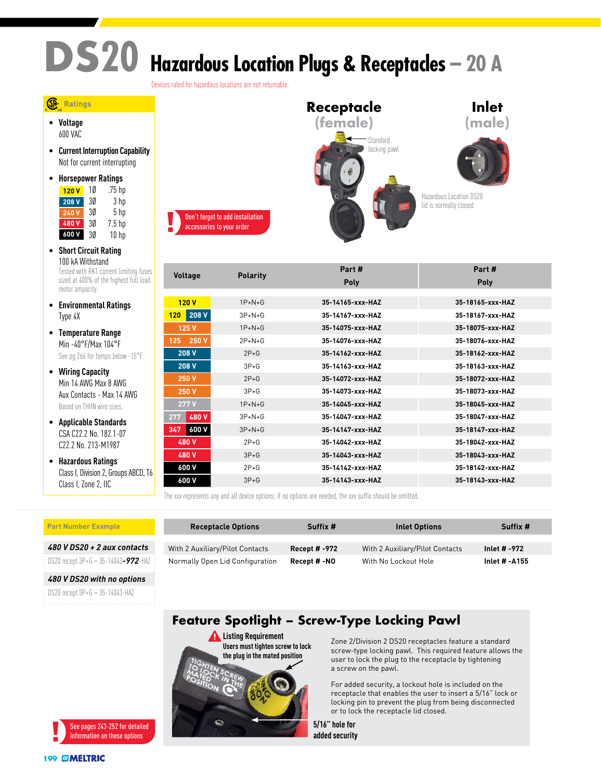## **DS20 Hazardous Location Plugs & Receptacles – 20 A**

Devices rated for hazardous locations are not returnable.

## **Ratings**

• **Voltage** 600 VAC

• **Current Interruption Capability** Not for current interrupting

| ٠ | <b>Horsepower Ratings</b> |    |                   |  |
|---|---------------------------|----|-------------------|--|
|   | 120V                      | 10 | .75 hp            |  |
|   | 208 V                     | 30 | 3 hp              |  |
|   | 240V                      | 30 | 5 <sub>hp</sub>   |  |
|   | 480V                      | 3Ø | 7.5 <sub>hp</sub> |  |
|   | 600 V                     | 3Ø | 10 <sub>hp</sub>  |  |

- **Short Circuit Rating** 100 kA Withstand Tested with RK1 current limiting fuses sized at 400% of the highest full load motor ampacity.
- **Environmental Ratings** Type 4X
- **Temperature Range** Min -40°F/Max 104°F See pg 266 for temps below -15°F.
- **Wiring Capacity** Min 14 AWG Max 8 AWG Aux Contacts - Max 14 AWG Based on THHN wire sizes.
- **Applicable Standards** CSA C22.2 No. 182.1-07 C22.2 No. 213-M1987
- **Hazardous Ratings** Class I, Division 2, Groups ABCD, T6 Class I, Zone 2, IIC

|                                                               | Receptacle                                          | <b>Inlet</b>                                      |
|---------------------------------------------------------------|-----------------------------------------------------|---------------------------------------------------|
|                                                               | (female)                                            | (male                                             |
| Don't forget to add installation<br>accessories to your order | Standard<br>locking pawl<br>wusil<br>xytal<br>30450 | Hazardous Location DS20<br>lid is normally closed |

| <b>Voltage</b> | <b>Polarity</b> | Part #           | Part#            |
|----------------|-----------------|------------------|------------------|
|                |                 | <b>Poly</b>      | <b>Poly</b>      |
|                |                 |                  |                  |
| 120V           | $1P+N+G$        | 35-14165-xxx-HAZ | 35-18165-xxx-HAZ |
| 208 V<br>120   | $3P+N+G$        | 35-14167-yyy-HA7 | 35-18167-xxx-HAZ |
| 125 V          | $1P+N+G$        | 35-14075-xxx-HAZ | 35-18075-xxx-HAZ |
| 250 V<br>125   | $2P+N+G$        | 35-14076-xxx-HAZ | 35-18076-xxx-HAZ |
| 208 V          | $2P+G$          | 35-14162-yyy-HA7 | 35-18162-xxx-HAZ |
| 208 V          | $3P + G$        | 35-14163-xxx-HAZ | 35-18163-xxx-HAZ |
| 250 V          | $2P+G$          | 35-14072-xxx-HAZ | 35-18072-xxx-HAZ |
| 250 V          | $3P + G$        | 35-14073-xxx-HAZ | 35-18073-xxx-HAZ |
| 277 V          | $1P+N+G$        | 35-14045-xxx-HAZ | 35-18045-xxx-HAZ |
| 480 V<br>277   | $3P+N+G$        | 35-14047-xxx-HAZ | 35-18047-xxx-HAZ |
| 600 V<br>347   | $3P + N + G$    | 35-14147-xxx-HAZ | 35-18147-xxx-HAZ |
| 480 V          | $2P+G$          | 35-14042-xxx-HAZ | 35-18042-xxx-HAZ |
| 480 V          | $3P+G$          | 35-14043-xxx-HAZ | 35-18043-xxx-HAZ |
| 600 V          | $2P+G$          | 35-14142-yyy-HA7 | 35-18142-yyy-HA7 |
| 600 V          | $3P+G$          | 35-14143-xxx-HAZ | 35-18143-xxx-HAZ |
|                |                 |                  |                  |

The xxx represents any and all device options; if no options are needed, the xxx suffix should be omitted.

| <b>Part Number Example</b>             | <b>Receptacle Options</b>       | Suffix #             | Inlet Options                   | Suffix #      |
|----------------------------------------|---------------------------------|----------------------|---------------------------------|---------------|
| 480 V DS20 + 2 aux contacts            | With 2 Auxiliary/Pilot Contacts | <b>Recept # -972</b> | With 2 Auxiliary/Pilot Contacts | Inlet # -972  |
| DS20 recept $3P+6 = 35-14043-972$ -HAZ | Normally Open Lid Configuration | Recept # -NO         | With No Lockout Hole            | Inlet # -A155 |

*480 V DS20 with no options*

DS20 recept 3P+G = 35-14043-HAZ



## Zone 2/Division 2 DS20 receptacles feature a standard screw-type locking pawl. This required feature allows the user to lock the plug to the receptacle by tightening a screw on the pawl.

For added security, a lockout hole is included on the receptacle that enables the user to insert a 5/16" lock or locking pin to prevent the plug from being disconnected or to lock the receptacle lid closed.

**5/16" hole for added security**

**Feature Spotlight – Screw-Type Locking Pawl**

**Listing Requirement**

WARNING COM **DANGER CAUTION** 

**NOTICE** 

**Users must tighten screw to lock the plug in the mated position**